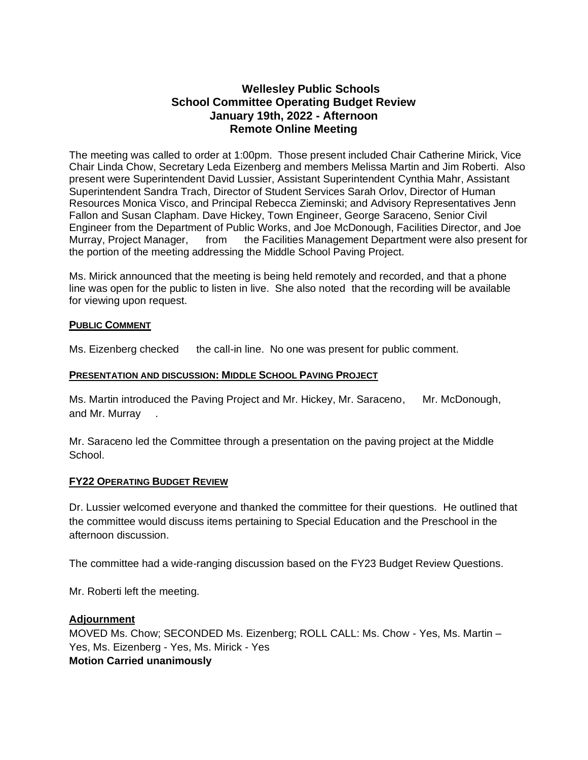## **Wellesley Public Schools School Committee Operating Budget Review January 19th, 2022 - Afternoon Remote Online Meeting**

The meeting was called to order at 1:00pm. Those present included Chair Catherine Mirick, Vice Chair Linda Chow, Secretary Leda Eizenberg and members Melissa Martin and Jim Roberti. Also present were Superintendent David Lussier, Assistant Superintendent Cynthia Mahr, Assistant Superintendent Sandra Trach, Director of Student Services Sarah Orlov, Director of Human Resources Monica Visco, and Principal Rebecca Zieminski; and Advisory Representatives Jenn Fallon and Susan Clapham. Dave Hickey, Town Engineer, George Saraceno, Senior Civil Engineer from the Department of Public Works, and Joe McDonough, Facilities Director, and Joe Murray, Project Manager, from the Facilities Management Department were also present for the portion of the meeting addressing the Middle School Paving Project.

Ms. Mirick announced that the meeting is being held remotely and recorded, and that a phone line was open for the public to listen in live. She also noted that the recording will be available for viewing upon request.

### **PUBLIC COMMENT**

Ms. Eizenberg checked the call-in line. No one was present for public comment.

#### **PRESENTATION AND DISCUSSION: MIDDLE SCHOOL PAVING PROJECT**

Ms. Martin introduced the Paving Project and Mr. Hickey, Mr. Saraceno, Mr. McDonough, and Mr. Murray .

Mr. Saraceno led the Committee through a presentation on the paving project at the Middle School.

#### **FY22 OPERATING BUDGET REVIEW**

Dr. Lussier welcomed everyone and thanked the committee for their questions. He outlined that the committee would discuss items pertaining to Special Education and the Preschool in the afternoon discussion.

The committee had a wide-ranging discussion based on the FY23 Budget Review Questions.

Mr. Roberti left the meeting.

#### **Adjournment**

MOVED Ms. Chow; SECONDED Ms. Eizenberg; ROLL CALL: Ms. Chow - Yes, Ms. Martin – Yes, Ms. Eizenberg - Yes, Ms. Mirick - Yes **Motion Carried unanimously**